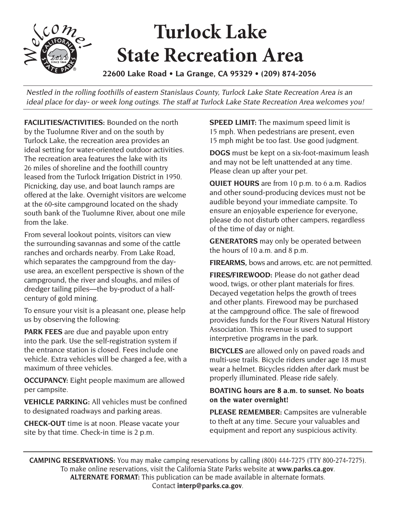## **Turlock Lake State Recreation Area**

**22600 Lake Road • La Grange, CA 95329 • (209) 874-2056** 

Nestled in the rolling foothills of eastern Stanislaus County, Turlock Lake State Recreation Area is an ideal place for day- or week long outings. The staff at Turlock Lake State Recreation Area welcomes you!

**FACILITIES/ACTIVITIES:** Bounded on the north by the Tuolumne River and on the south by Turlock Lake, the recreation area provides an ideal setting for water-oriented outdoor activities. The recreation area features the lake with its 26 miles of shoreline and the foothill country leased from the Turlock Irrigation District in 1950. Picnicking, day use, and boat launch ramps are offered at the lake. Overnight visitors are welcome at the 60-site campground located on the shady south bank of the Tuolumne River, about one mile from the lake.

From several lookout points, visitors can view the surrounding savannas and some of the cattle ranches and orchards nearby. From Lake Road, which separates the campground from the dayuse area, an excellent perspective is shown of the campground, the river and sloughs, and miles of dredger tailing piles—the by-product of a halfcentury of gold mining.

To ensure your visit is a pleasant one, please help us by observing the following:

**PARK FEES** are due and payable upon entry into the park. Use the self-registration system if the entrance station is closed. Fees include one vehicle. Extra vehicles will be charged a fee, with a maximum of three vehicles.

**OCCUPANCY:** Eight people maximum are allowed per campsite.

**VEHICLE PARKING:** All vehicles must be confined to designated roadways and parking areas.

**CHECK-OUT** time is at noon. Please vacate your site by that time. Check-in time is 2 p.m.

**SPEED LIMIT:** The maximum speed limit is 15 mph. When pedestrians are present, even 15 mph might be too fast. Use good judgment.

**DOGS** must be kept on a six-foot-maximum leash and may not be left unattended at any time. Please clean up after your pet.

**QUIET HOURS** are from 10 p.m. to 6 a.m. Radios and other sound-producing devices must not be audible beyond your immediate campsite. To ensure an enjoyable experience for everyone, please do not disturb other campers, regardless of the time of day or night.

**GENERATORS** may only be operated between the hours of 10 a.m. and 8 p.m.

**FIREARMS,** bows and arrows, etc. are not permitted.

**FIRES/FIREWOOD:** Please do not gather dead wood, twigs, or other plant materials for fires. Decayed vegetation helps the growth of trees and other plants. Firewood may be purchased at the campground office. The sale of firewood provides funds for the Four Rivers Natural History Association. This revenue is used to support interpretive programs in the park.

**BICYCLES** are allowed only on paved roads and multi-use trails. Bicycle riders under age 18 must wear a helmet. Bicycles ridden after dark must be properly illuminated. Please ride safely.

## **BOATING hours are 8 a.m. to sunset. No boats on the water overnight!**

**PLEASE REMEMBER:** Campsites are vulnerable to theft at any time. Secure your valuables and equipment and report any suspicious activity.

**CAMPING RESERVATIONS:** You may make camping reservations by calling (800) 444-7275 (TTY 800-274-7275). To make online reservations, visit the California State Parks website at **[www.parks.ca.gov](http://www.parks.ca.gov.)**. **ALTERNATE FORMAT:** This publication can be made available in alternate formats. Contact **[interp@parks.ca.gov](mailto:interp@parks.ca.gov.)**.